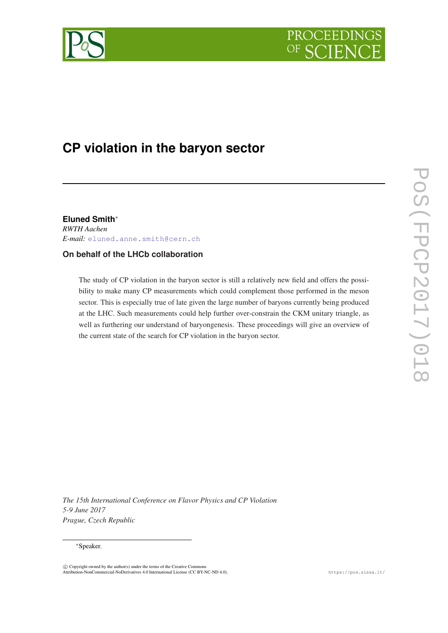



# **CP violation in the baryon sector**

**Eluned Smith**<sup>∗</sup>

*RWTH Aachen E-mail:* [eluned.anne.smith@cern.ch](mailto:eluned.anne.smith@cern.ch)

### **On behalf of the LHCb collaboration**

The study of CP violation in the baryon sector is still a relatively new field and offers the possibility to make many CP measurements which could complement those performed in the meson sector. This is especially true of late given the large number of baryons currently being produced at the LHC. Such measurements could help further over-constrain the CKM unitary triangle, as well as furthering our understand of baryongenesis. These proceedings will give an overview of the current state of the search for CP violation in the baryon sector.

POS(FPCP2017)018 PoS(FPCP2017)018

*The 15th International Conference on Flavor Physics and CP Violation 5-9 June 2017 Prague, Czech Republic*

#### <sup>∗</sup>Speaker.

 $\circled{c}$  Copyright owned by the author(s) under the terms of the Creative Commons Attribution-NonCommercial-NoDerivatives 4.0 International License (CC BY-NC-ND 4.0). https://pos.sissa.it/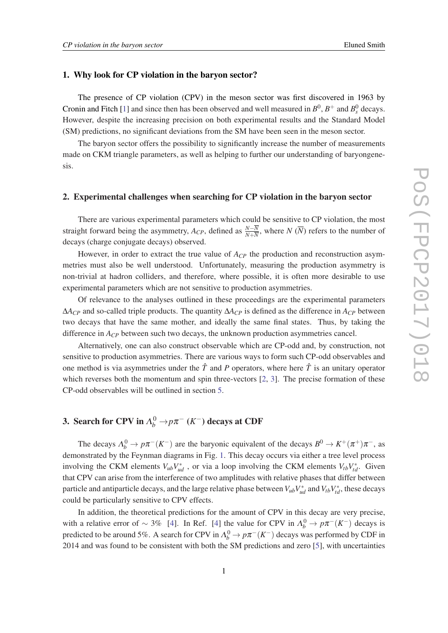### <span id="page-1-0"></span>1. Why look for CP violation in the baryon sector?

The presence of CP violation (CPV) in the meson sector was first discovered in 1963 by Cronin and Fitch [[1](#page-8-0)] and since then has been observed and well measured in  $B^0$ ,  $B^+$  and  $B_s^0$  decays. However, despite the increasing precision on both experimental results and the Standard Model (SM) predictions, no significant deviations from the SM have been seen in the meson sector.

The baryon sector offers the possibility to significantly increase the number of measurements made on CKM triangle parameters, as well as helping to further our understanding of baryongenesis.

#### 2. Experimental challenges when searching for CP violation in the baryon sector

There are various experimental parameters which could be sensitive to CP violation, the most straight forward being the asymmetry,  $A_{CP}$ , defined as  $\frac{N-\overline{N}}{N+\overline{N}}$ , where  $N(\overline{N})$  refers to the number of decays (charge conjugate decays) observed.

However, in order to extract the true value of  $A_{CP}$  the production and reconstruction asymmetries must also be well understood. Unfortunately, measuring the production asymmetry is non-trivial at hadron colliders, and therefore, where possible, it is often more desirable to use experimental parameters which are not sensitive to production asymmetries.

Of relevance to the analyses outlined in these proceedings are the experimental parameters ∆*ACP* and so-called triple products. The quantity ∆*ACP* is defined as the difference in *ACP* between two decays that have the same mother, and ideally the same final states. Thus, by taking the difference in  $A_{CP}$  between such two decays, the unknown production asymmetries cancel.

Alternatively, one can also construct observable which are CP-odd and, by construction, not sensitive to production asymmetries. There are various ways to form such CP-odd observables and one method is via asymmetries under the  $\hat{T}$  and P operators, where here  $\hat{T}$  is an unitary operator which reverses both the momentum and spin three-vectors  $[2, 3]$  $[2, 3]$  $[2, 3]$  $[2, 3]$ . The precise formation of these CP-odd observables will be outlined in section [5.](#page-3-0)

# **3.** Search for CPV in  $\Lambda_b^0 \to p \pi^-$  (*K*<sup>-</sup>) decays at CDF

The decays  $\Lambda_b^0 \to p\pi^-(K^-)$  are the baryonic equivalent of the decays  $B^0 \to K^+(\pi^+) \pi^-$ , as demonstrated by the Feynman diagrams in Fig. [1](#page-2-0). This decay occurs via either a tree level process involving the CKM elements  $V_{ub}V_{ud}^*$ , or via a loop involving the CKM elements  $V_{tb}V_{td}^*$ . Given that CPV can arise from the interference of two amplitudes with relative phases that differ between particle and antiparticle decays, and the large relative phase between  $V_{ub}V_{ud}^*$  and  $V_{tb}V_{td}^*$ , these decays could be particularly sensitive to CPV effects.

In addition, the theoretical predictions for the amount of CPV in this decay are very precise, with a relative error of  $\sim 3\%$  [[4](#page-8-0)]. In Ref. [4] the value for CPV in  $\Lambda_b^0 \to p\pi^-(K^-)$  decays is predicted to be around 5%. A search for CPV in  $\Lambda_b^0 \to p \pi^-(K^-)$  decays was performed by CDF in 2014 and was found to be consistent with both the SM predictions and zero [\[5\]](#page-8-0), with uncertainties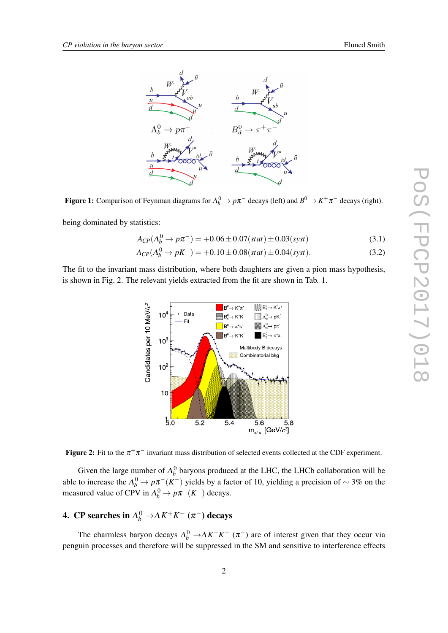<span id="page-2-0"></span>

Figure 1: Comparison of Feynman diagrams for  $\Lambda_b^0 \to p\pi^-$  decays (left) and  $B^0 \to K^+\pi^-$  decays (right).

being dominated by statistics:

$$
A_{CP}(\Lambda_b^0 \to p\pi^-) = +0.06 \pm 0.07(stat) \pm 0.03(syst)
$$
\n(3.1)

$$
A_{CP}(\Lambda_b^0 \to pK^-) = +0.10 \pm 0.08(stat) \pm 0.04(syst).
$$
 (3.2)

The fit to the invariant mass distribution, where both daughters are given a pion mass hypothesis, is shown in Fig. 2. The relevant yields extracted from the fit are shown in Tab. 1.





Given the large number of  $\Lambda_b^0$  baryons produced at the LHC, the LHCb collaboration will be able to increase the  $\Lambda_b^0 \to p\pi^-(K^-)$  yields by a factor of 10, yielding a precision of  $\sim 3\%$  on the measured value of CPV in  $\Lambda_b^0 \to p \pi^-(K^-)$  decays.

# **4.** CP searches in  $\Lambda_b^0 \rightarrow \Lambda K^+ K^- (\pi^-)$  decays

The charmless baryon decays  $\Lambda_b^0 \to \Lambda K^+ K^-$  ( $\pi^-$ ) are of interest given that they occur via penguin processes and therefore will be suppressed in the SM and sensitive to interference effects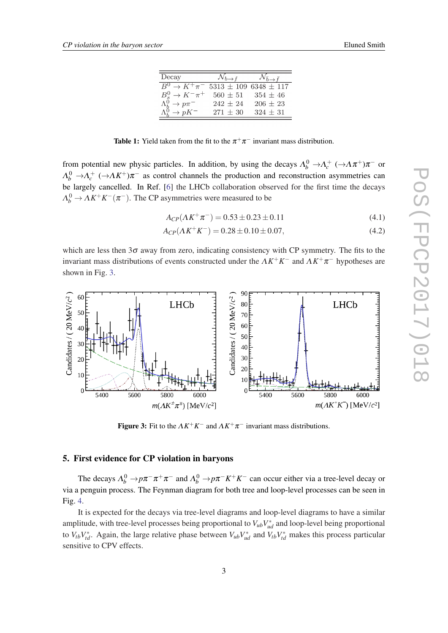| Decav                                                        | $\mathcal{N}_{b\rightarrow f}$ | $\Delta\tau$              |
|--------------------------------------------------------------|--------------------------------|---------------------------|
| $\overline{B^0 \rightarrow K^+ \pi^-}$ 5313 ± 109 6348 ± 117 |                                |                           |
| $B_s^0 \to K^- \pi^+$                                        |                                | $560 \pm 51$ $354 \pm 46$ |
| $\Lambda_b^0 \to p \pi^-$                                    | $242 + 24$                     | $206 + 23$                |
| $\Lambda_b^0 \rightarrow pK^-$                               | $271 + 30$                     | $324 + 31$                |

**Table 1:** Yield taken from the fit to the  $\pi^+\pi^-$  invariant mass distribution.

<span id="page-3-0"></span>from potential new physic particles. In addition, by using the decays  $\Lambda_b^0 \to \Lambda_c^+$  ( $\to \Lambda \pi^+$ ) $\pi^-$  or  $\Lambda_b^0 \to \Lambda_c^+$  ( $\to \Lambda K^+$ ) $\pi^-$  as control channels the production and reconstruction asymmetries can be largely cancelled. In Ref. [\[6\]](#page-8-0) the LHCb collaboration observed for the first time the decays  $\Lambda_b^0 \to \Lambda K^+ K^- (\pi^-)$ . The CP asymmetries were measured to be

$$
A_{CP}(\Lambda K^{+}\pi^{-}) = 0.53 \pm 0.23 \pm 0.11 \tag{4.1}
$$

$$
A_{CP}(\Lambda K^+ K^-) = 0.28 \pm 0.10 \pm 0.07,\tag{4.2}
$$

which are less then  $3\sigma$  away from zero, indicating consistency with CP symmetry. The fits to the invariant mass distributions of events constructed under the  $\Lambda K^+K^-$  and  $\Lambda K^+\pi^-$  hypotheses are shown in Fig. 3.



**Figure 3:** Fit to the  $\Lambda K^{+} K^{-}$  and  $\Lambda K^{+} \pi^{-}$  invariant mass distributions.

### 5. First evidence for CP violation in baryons

The decays  $\Lambda_b^0 \to p\pi^-\pi^+\pi^-$  and  $\Lambda_b^0 \to p\pi^-K^+K^-$  can occur either via a tree-level decay or via a penguin process. The Feynman diagram for both tree and loop-level processes can be seen in Fig. [4.](#page-4-0)

It is expected for the decays via tree-level diagrams and loop-level diagrams to have a similar amplitude, with tree-level processes being proportional to  $V_{ub}V_{ud}^*$  and loop-level being proportional to  $V_{tb}V_{td}^*$ . Again, the large relative phase between  $V_{ub}V_{ud}^*$  and  $V_{tb}V_{td}^*$  makes this process particular sensitive to CPV effects.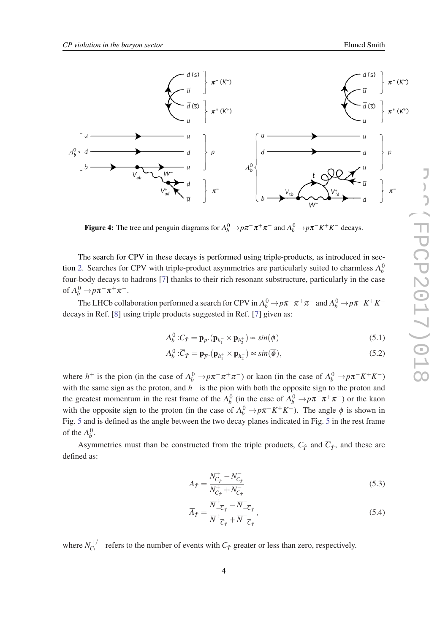<span id="page-4-0"></span>

Figure 4: The tree and penguin diagrams for  $\Lambda_b^0 \to p\pi^-\pi^+\pi^-$  and  $\Lambda_b^0 \to p\pi^-K^+K^-$  decays.

The search for CPV in these decays is performed using triple-products, as introduced in sec-tion [2.](#page-1-0) Searches for CPV with triple-product asymmetries are particularly suited to charmless  $\Lambda_b^0$ four-body decays to hadrons [\[7\]](#page-8-0) thanks to their rich resonant substructure, particularly in the case of  $\Lambda_b^0 \to p \pi^- \pi^+ \pi^-$ .

The LHCb collaboration performed a search for CPV in  $\Lambda_b^0\to p\pi^-\pi^+\pi^-$  and  $\Lambda_b^0\to p\pi^-K^+K^$ decays in Ref. [[8](#page-8-0)] using triple products suggested in Ref. [\[7\]](#page-8-0) given as:

$$
\Lambda_b^0: C_{\hat{T}} = \mathbf{p}_p \cdot (\mathbf{p}_{h_1^-} \times \mathbf{p}_{h_2^+}) \propto \sin(\phi) \tag{5.1}
$$

$$
\overline{\Lambda_b^0} : \overline{C}_{\hat{T}} = \mathbf{p}_{\overline{p}} \cdot (\mathbf{p}_{h_1^+} \times \mathbf{p}_{h_2^-}) \propto \sin(\overline{\phi}), \tag{5.2}
$$

where  $h^+$  is the pion (in the case of  $\Lambda_b^0 \to p\pi^-\pi^+\pi^-$ ) or kaon (in the case of  $\Lambda_b^0 \to p\pi^-K^+K^-$ ) with the same sign as the proton, and  $h^-$  is the pion with both the opposite sign to the proton and the greatest momentum in the rest frame of the  $\Lambda_b^0$  (in the case of  $\Lambda_b^0 \to p\pi^-\pi^+\pi^-$ ) or the kaon with the opposite sign to the proton (in the case of  $\Lambda_b^0 \to p\pi^- K^+ K^-$ ). The angle  $\phi$  is shown in Fig. [5](#page-5-0) and is defined as the angle between the two decay planes indicated in Fig. [5](#page-5-0) in the rest frame of the  $\Lambda_b^0$ .

Asymmetries must than be constructed from the triple products,  $C_{\hat{T}}$  and  $\overline{C}_{\hat{T}}$ , and these are defined as:

$$
A_{\hat{T}} = \frac{N_{C_{\hat{T}}}^+ - N_{C_{\hat{T}}}^-}{N_{C_{\hat{T}}}^+ + N_{C_{\hat{T}}}^-}
$$
\n(5.3)

$$
\overline{A}_{\hat{T}} = \frac{\overline{N}_{-\overline{C}_{\hat{T}}}^+ - \overline{N}_{-\overline{C}_{\hat{T}}}^-}{\overline{N}_{-\overline{C}_{\hat{T}}}^+ + \overline{N}_{-\overline{C}_{\hat{T}}}^-},\tag{5.4}
$$

where  $N_C^{+/-}$  $C_i^{+/-}$  refers to the number of events with  $C_{\hat{T}}$  greater or less than zero, respectively.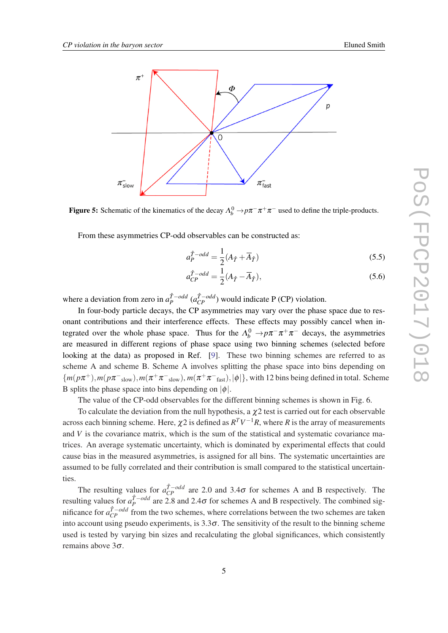<span id="page-5-0"></span>



From these asymmetries CP-odd observables can be constructed as:

$$
a_P^{\hat{T}-odd} = \frac{1}{2}(A_{\hat{T}} + \overline{A}_{\hat{T}})
$$
\n(5.5)

$$
a_{CP}^{\hat{T}-odd} = \frac{1}{2}(A_{\hat{T}} - \overline{A}_{\hat{T}}),
$$
\n(5.6)

where a deviation from zero in  $a_P^{\hat{T}-odd}$   $(a_{CP}^{\hat{T}-odd})$  would indicate P (CP) violation.

In four-body particle decays, the CP asymmetries may vary over the phase space due to resonant contributions and their interference effects. These effects may possibly cancel when integrated over the whole phase space. Thus for the  $\Lambda_b^0 \to p \pi^- \pi^+ \pi^-$  decays, the asymmetries are measured in different regions of phase space using two binning schemes (selected before looking at the data) as proposed in Ref. [[9](#page-8-0)]. These two binning schemes are referred to as scheme A and scheme B. Scheme A involves splitting the phase space into bins depending on  ${m(p\pi^+), m(p\pi^-\rm_{slow}), m(\pi^+\pi^-\rm_{slow}), m(\pi^+\pi^-\rm_{fast}), |\phi|}\}$ , with 12 bins being defined in total. Scheme B splits the phase space into bins depending on  $|\phi|$ .

The value of the CP-odd observables for the different binning schemes is shown in Fig. 6.

To calculate the deviation from the null hypothesis, a  $\chi$ 2 test is carried out for each observable across each binning scheme. Here,  $\chi2$  is defined as  $R^TV^{-1}R$ , where  $R$  is the array of measurements and *V* is the covariance matrix, which is the sum of the statistical and systematic covariance matrices. An average systematic uncertainty, which is dominated by experimental effects that could cause bias in the measured asymmetries, is assigned for all bins. The systematic uncertainties are assumed to be fully correlated and their contribution is small compared to the statistical uncertainties.

The resulting values for  $a_{CP}^{\hat{T}-odd}$  are 2.0 and 3.4 $\sigma$  for schemes A and B respectively. The resulting values for  $a_P^{\hat{T}-odd}$  are 2.8 and 2.4 $\sigma$  for schemes A and B respectively. The combined significance for  $a_{CP}^{\hat{T}-odd}$  from the two schemes, where correlations between the two schemes are taken into account using pseudo experiments, is  $3.3\sigma$ . The sensitivity of the result to the binning scheme used is tested by varying bin sizes and recalculating the global significances, which consistently remains above 3σ.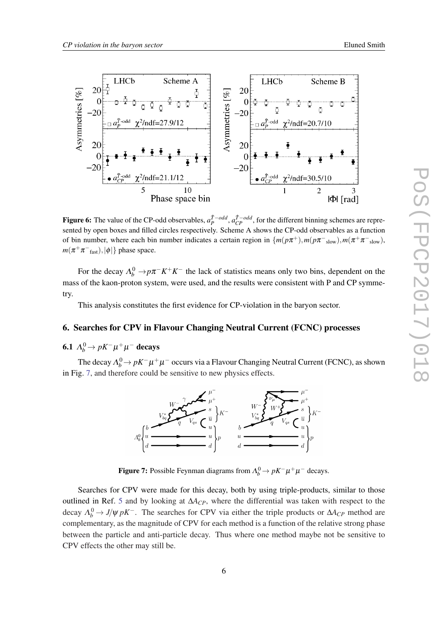<span id="page-6-0"></span>

**Figure 6:** The value of the CP-odd observables,  $a_P^{\hat{T}-odd}$ ,  $a_{CP}^{\hat{T}-odd}$ , for the different binning schemes are represented by open boxes and filled circles respectively. Scheme A shows the CP-odd observables as a function of bin number, where each bin number indicates a certain region in  $\{m(p\pi^+), m(p\pi^-_{slow}), m(\pi^+\pi^-_{slow})\}$  $m(\pi^+\pi^-_{\text{fast}}),|\phi|\}$  phase space.

For the decay  $\Lambda_b^0 \to p\pi^- K^+ K^-$  the lack of statistics means only two bins, dependent on the mass of the kaon-proton system, were used, and the results were consistent with P and CP symmetry.

This analysis constitutes the first evidence for CP-violation in the baryon sector.

### 6. Searches for CPV in Flavour Changing Neutral Current (FCNC) processes

### **6.1**  $\Lambda_b^0 \rightarrow pK^- \mu^+ \mu^-$  decays

The decay  $\Lambda_b^0$   $\rightarrow$   $pK^-\mu^+\mu^-$  occurs via a Flavour Changing Neutral Current (FCNC), as shown in Fig. 7, and therefore could be sensitive to new physics effects.



**Figure 7:** Possible Feynman diagrams from  $\Lambda_b^0 \to pK^- \mu^+ \mu^-$  decays.

Searches for CPV were made for this decay, both by using triple-products, similar to those outlined in Ref. [5](#page-3-0) and by looking at ∆*ACP*, where the differential was taken with respect to the decay  $\Lambda_b^0 \to J/\psi pK^-$ . The searches for CPV via either the triple products or  $\Delta A_{CP}$  method are complementary, as the magnitude of CPV for each method is a function of the relative strong phase between the particle and anti-particle decay. Thus where one method maybe not be sensitive to CPV effects the other may still be.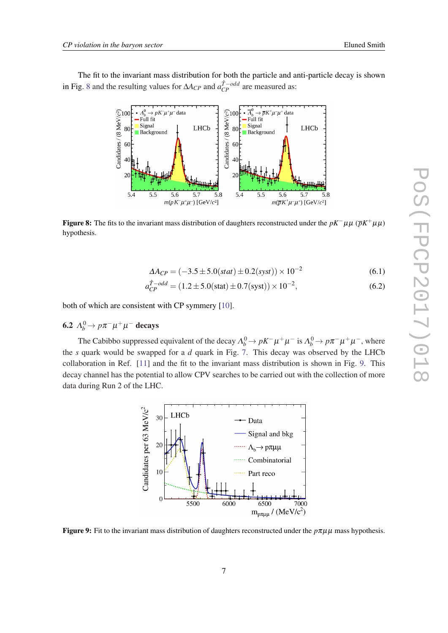The fit to the invariant mass distribution for both the particle and anti-particle decay is shown in Fig. 8 and the resulting values for  $\Delta A_{CP}$  and  $a_{CP}^{\hat{T}-odd}$  are measured as:



**Figure 8:** The fits to the invariant mass distribution of daughters reconstructed under the *pK*−µµ ( $\bar{p}K^+\mu\mu$ ) hypothesis.

$$
\Delta A_{CP} = (-3.5 \pm 5.0(stat) \pm 0.2(syst)) \times 10^{-2}
$$
 (6.1)

$$
a_{CP}^{\hat{T}-odd} = (1.2 \pm 5.0 \text{(stat)} \pm 0.7 \text{(syst)}) \times 10^{-2},\tag{6.2}
$$

both of which are consistent with CP symmery [\[10](#page-8-0)].

### 6.2  $\Lambda_b^0 \rightarrow p \pi^- \mu^+ \mu^-$  decays

The Cabibbo suppressed equivalent of the decay  $\Lambda_b^0 \to pK^-\mu^+\mu^-$  is  $\Lambda_b^0 \to p\pi^-\mu^+\mu^-$ , where the *s* quark would be swapped for a *d* quark in Fig. [7](#page-6-0). This decay was observed by the LHCb collaboration in Ref. [[11\]](#page-8-0) and the fit to the invariant mass distribution is shown in Fig. 9. This decay channel has the potential to allow CPV searches to be carried out with the collection of more data during Run 2 of the LHC.



**Figure 9:** Fit to the invariant mass distribution of daughters reconstructed under the  $p\pi\mu\mu$  mass hypothesis.